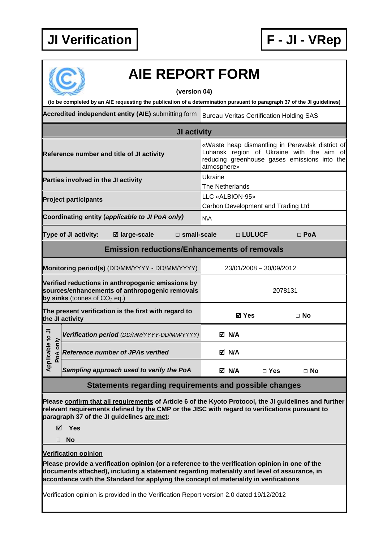

## **AIE REPORT FORM**

**(version 04)** 

**(to be completed by an AIE requesting the publication of a determination pursuant to paragraph 37 of the JI guidelines)** 

Accredited independent entity (AIE) submitting form Bureau Veritas Certification Holding SAS

|                                                                                                                                       |                      |                                             | JI activity           |                           |                                                                                                                                                              |            |            |  |  |
|---------------------------------------------------------------------------------------------------------------------------------------|----------------------|---------------------------------------------|-----------------------|---------------------------|--------------------------------------------------------------------------------------------------------------------------------------------------------------|------------|------------|--|--|
| Reference number and title of JI activity                                                                                             |                      |                                             |                       |                           | «Waste heap dismantling in Perevalsk district of<br>Luhansk region of Ukraine with the aim of<br>reducing greenhouse gases emissions into the<br>atmosphere» |            |            |  |  |
| Parties involved in the JI activity                                                                                                   |                      |                                             |                       |                           | Ukraine<br>The Netherlands                                                                                                                                   |            |            |  |  |
| <b>Project participants</b>                                                                                                           |                      |                                             |                       |                           | LLC «ALBION-95»<br>Carbon Development and Trading Ltd                                                                                                        |            |            |  |  |
| Coordinating entity (applicable to JI PoA only)                                                                                       |                      |                                             |                       |                           | <b>N\A</b>                                                                                                                                                   |            |            |  |  |
|                                                                                                                                       | Type of JI activity: | <b>Ø</b> large-scale                        | $\square$ small-scale |                           | □ LULUCF                                                                                                                                                     |            | $\Box$ PoA |  |  |
| <b>Emission reductions/Enhancements of removals</b>                                                                                   |                      |                                             |                       |                           |                                                                                                                                                              |            |            |  |  |
| Monitoring period(s) (DD/MM/YYYY - DD/MM/YYYY)                                                                                        |                      |                                             |                       |                           | 23/01/2008 - 30/09/2012                                                                                                                                      |            |            |  |  |
| Verified reductions in anthropogenic emissions by<br>sources/enhancements of anthropogenic removals<br>by sinks (tonnes of $CO2$ eq.) |                      |                                             |                       |                           | 2078131                                                                                                                                                      |            |            |  |  |
| The present verification is the first with regard to<br>the JI activity                                                               |                      |                                             |                       | <b>⊠</b> Yes<br>$\Box$ No |                                                                                                                                                              |            |            |  |  |
| Applicable to JI<br>only<br>PoA                                                                                                       |                      | Verification period (DD/MM/YYYY-DD/MM/YYYY) |                       |                           | M N/A                                                                                                                                                        |            |            |  |  |
|                                                                                                                                       |                      | <b>Reference number of JPAs verified</b>    |                       |                           | M N/A                                                                                                                                                        |            |            |  |  |
|                                                                                                                                       |                      | Sampling approach used to verify the PoA    |                       |                           | M N/A                                                                                                                                                        | $\Box$ Yes | $\Box$ No  |  |  |

## **Statements regarding requirements and possible changes**

**Please confirm that all requirements of Article 6 of the Kyoto Protocol, the JI guidelines and further relevant requirements defined by the CMP or the JISC with regard to verifications pursuant to paragraph 37 of the JI guidelines are met:** 

**Yes** 

**No** 

**Verification opinion** 

**Please provide a verification opinion (or a reference to the verification opinion in one of the documents attached), including a statement regarding materiality and level of assurance, in accordance with the Standard for applying the concept of materiality in verifications** 

Verification opinion is provided in the Verification Report version 2.0 dated 19/12/2012